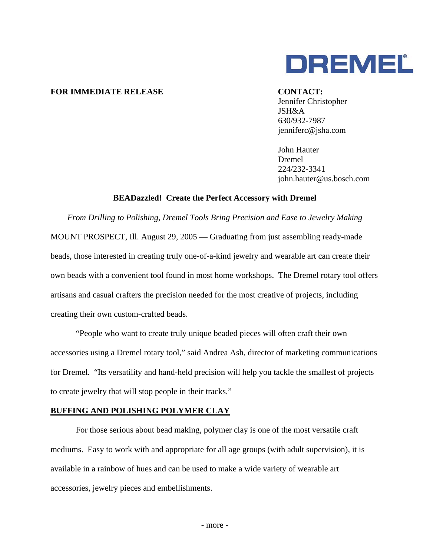

# **FOR IMMEDIATE RELEASE CONTACT:**

 Jennifer Christopher JSH&A 630/932-7987 jenniferc@jsha.com

John Hauter Dremel 224/232-3341 john.hauter@us.bosch.com

## **BEADazzled! Create the Perfect Accessory with Dremel**

*From Drilling to Polishing, Dremel Tools Bring Precision and Ease to Jewelry Making* MOUNT PROSPECT, Ill. August 29, 2005 — Graduating from just assembling ready-made beads, those interested in creating truly one-of-a-kind jewelry and wearable art can create their own beads with a convenient tool found in most home workshops. The Dremel rotary tool offers artisans and casual crafters the precision needed for the most creative of projects, including creating their own custom-crafted beads.

"People who want to create truly unique beaded pieces will often craft their own accessories using a Dremel rotary tool," said Andrea Ash, director of marketing communications for Dremel. "Its versatility and hand-held precision will help you tackle the smallest of projects to create jewelry that will stop people in their tracks."

# **BUFFING AND POLISHING POLYMER CLAY**

For those serious about bead making, polymer clay is one of the most versatile craft mediums. Easy to work with and appropriate for all age groups (with adult supervision), it is available in a rainbow of hues and can be used to make a wide variety of wearable art accessories, jewelry pieces and embellishments.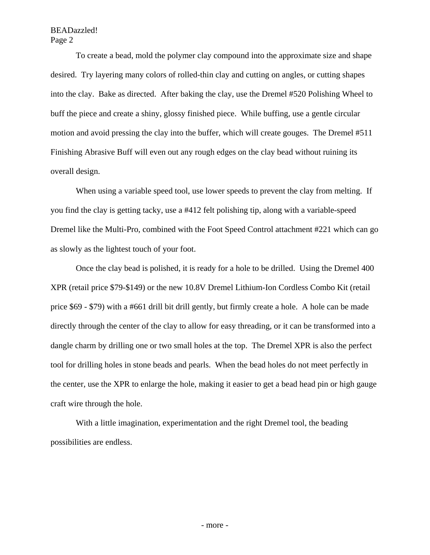# BEADazzled! Page 2

To create a bead, mold the polymer clay compound into the approximate size and shape desired. Try layering many colors of rolled-thin clay and cutting on angles, or cutting shapes into the clay. Bake as directed. After baking the clay, use the Dremel #520 Polishing Wheel to buff the piece and create a shiny, glossy finished piece. While buffing, use a gentle circular motion and avoid pressing the clay into the buffer, which will create gouges. The Dremel #511 Finishing Abrasive Buff will even out any rough edges on the clay bead without ruining its overall design.

When using a variable speed tool, use lower speeds to prevent the clay from melting. If you find the clay is getting tacky, use a #412 felt polishing tip, along with a variable-speed Dremel like the Multi-Pro, combined with the Foot Speed Control attachment #221 which can go as slowly as the lightest touch of your foot.

Once the clay bead is polished, it is ready for a hole to be drilled. Using the Dremel 400 XPR (retail price \$79-\$149) or the new 10.8V Dremel Lithium-Ion Cordless Combo Kit (retail price \$69 - \$79) with a #661 drill bit drill gently, but firmly create a hole. A hole can be made directly through the center of the clay to allow for easy threading, or it can be transformed into a dangle charm by drilling one or two small holes at the top. The Dremel XPR is also the perfect tool for drilling holes in stone beads and pearls. When the bead holes do not meet perfectly in the center, use the XPR to enlarge the hole, making it easier to get a bead head pin or high gauge craft wire through the hole.

With a little imagination, experimentation and the right Dremel tool, the beading possibilities are endless.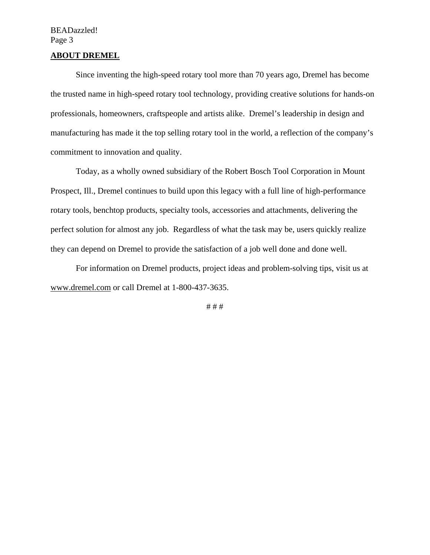# BEADazzled! Page 3

## **ABOUT DREMEL**

Since inventing the high-speed rotary tool more than 70 years ago, Dremel has become the trusted name in high-speed rotary tool technology, providing creative solutions for hands-on professionals, homeowners, craftspeople and artists alike. Dremel's leadership in design and manufacturing has made it the top selling rotary tool in the world, a reflection of the company's commitment to innovation and quality.

Today, as a wholly owned subsidiary of the Robert Bosch Tool Corporation in Mount Prospect, Ill., Dremel continues to build upon this legacy with a full line of high-performance rotary tools, benchtop products, specialty tools, accessories and attachments, delivering the perfect solution for almost any job. Regardless of what the task may be, users quickly realize they can depend on Dremel to provide the satisfaction of a job well done and done well.

For information on Dremel products, project ideas and problem-solving tips, visit us at www.dremel.com or call Dremel at 1-800-437-3635.

# # #